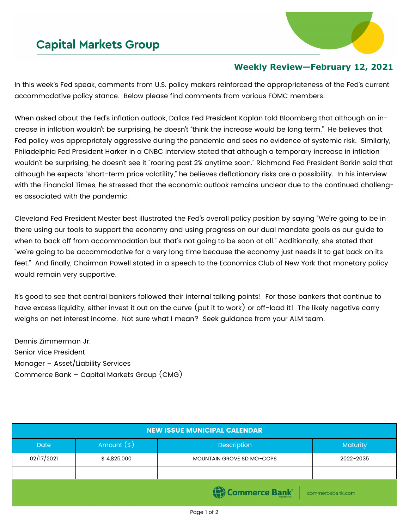## **Capital Markets Group**



## **Weekly Review—February 12, 2021**

In this week's Fed speak, comments from U.S. policy makers reinforced the appropriateness of the Fed's current accommodative policy stance. Below please find comments from various FOMC members:

When asked about the Fed's inflation outlook, Dallas Fed President Kaplan told Bloomberg that although an increase in inflation wouldn't be surprising, he doesn't "think the increase would be long term." He believes that Fed policy was appropriately aggressive during the pandemic and sees no evidence of systemic risk. Similarly, Philadelphia Fed President Harker in a CNBC interview stated that although a temporary increase in inflation wouldn't be surprising, he doesn't see it "roaring past 2% anytime soon." Richmond Fed President Barkin said that although he expects "short-term price volatility," he believes deflationary risks are a possibility. In his interview with the Financial Times, he stressed that the economic outlook remains unclear due to the continued challenges associated with the pandemic.

Cleveland Fed President Mester best illustrated the Fed's overall policy position by saying "We're going to be in there using our tools to support the economy and using progress on our dual mandate goals as our guide to when to back off from accommodation but that's not going to be soon at all." Additionally, she stated that "we're going to be accommodative for a very long time because the economy just needs it to get back on its feet." And finally, Chairman Powell stated in a speech to the Economics Club of New York that monetary policy would remain very supportive.

It's good to see that central bankers followed their internal talking points! For those bankers that continue to have excess liquidity, either invest it out on the curve (put it to work) or off-load it! The likely negative carry weighs on net interest income. Not sure what I mean? Seek guidance from your ALM team.

Dennis Zimmerman Jr. Senior Vice President Manager – Asset/Liability Services Commerce Bank – Capital Markets Group (CMG)

| <b>NEW ISSUE MUNICIPAL CALENDAR</b> |              |                                  |           |  |  |  |
|-------------------------------------|--------------|----------------------------------|-----------|--|--|--|
| <b>Date</b>                         | Amount $(*)$ | Description                      | Maturity  |  |  |  |
| 02/17/2021                          | \$4,825,000  | <b>MOUNTAIN GROVE SD MO-COPS</b> | 2022-2035 |  |  |  |
|                                     |              |                                  |           |  |  |  |
| Commerce Bank<br>commercebank.com   |              |                                  |           |  |  |  |